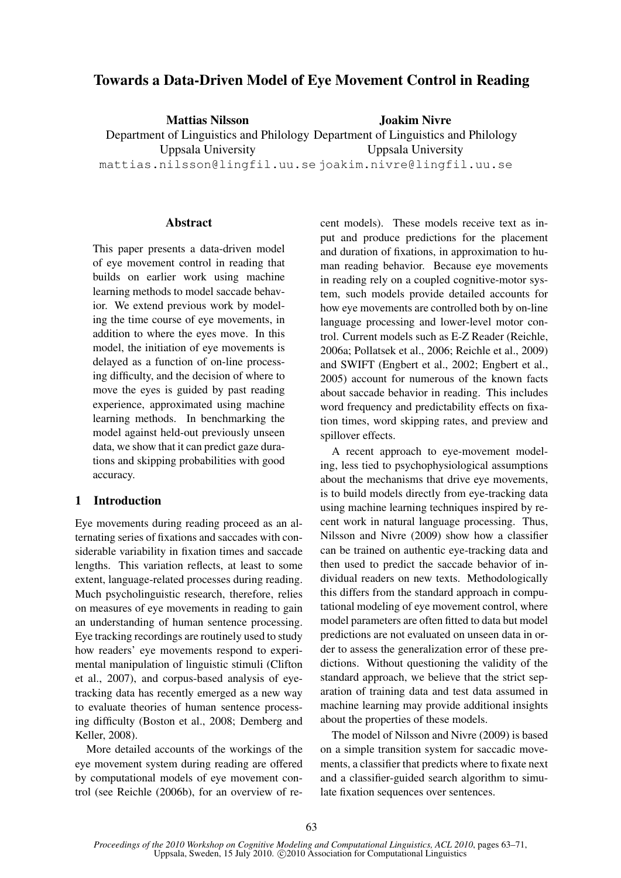# Towards a Data-Driven Model of Eye Movement Control in Reading

Mattias Nilsson Department of Linguistics and Philology Department of Linguistics and Philology Uppsala University mattias.nilsson@lingfil.uu.se joakim.nivre@lingfil.uu.se Joakim Nivre Uppsala University

# Abstract

This paper presents a data-driven model of eye movement control in reading that builds on earlier work using machine learning methods to model saccade behavior. We extend previous work by modeling the time course of eye movements, in addition to where the eyes move. In this model, the initiation of eye movements is delayed as a function of on-line processing difficulty, and the decision of where to move the eyes is guided by past reading experience, approximated using machine learning methods. In benchmarking the model against held-out previously unseen data, we show that it can predict gaze durations and skipping probabilities with good accuracy.

# 1 Introduction

Eye movements during reading proceed as an alternating series of fixations and saccades with considerable variability in fixation times and saccade lengths. This variation reflects, at least to some extent, language-related processes during reading. Much psycholinguistic research, therefore, relies on measures of eye movements in reading to gain an understanding of human sentence processing. Eye tracking recordings are routinely used to study how readers' eye movements respond to experimental manipulation of linguistic stimuli (Clifton et al., 2007), and corpus-based analysis of eyetracking data has recently emerged as a new way to evaluate theories of human sentence processing difficulty (Boston et al., 2008; Demberg and Keller, 2008).

More detailed accounts of the workings of the eye movement system during reading are offered by computational models of eye movement control (see Reichle (2006b), for an overview of recent models). These models receive text as input and produce predictions for the placement and duration of fixations, in approximation to human reading behavior. Because eye movements in reading rely on a coupled cognitive-motor system, such models provide detailed accounts for how eye movements are controlled both by on-line language processing and lower-level motor control. Current models such as E-Z Reader (Reichle, 2006a; Pollatsek et al., 2006; Reichle et al., 2009) and SWIFT (Engbert et al., 2002; Engbert et al., 2005) account for numerous of the known facts about saccade behavior in reading. This includes word frequency and predictability effects on fixation times, word skipping rates, and preview and spillover effects.

A recent approach to eye-movement modeling, less tied to psychophysiological assumptions about the mechanisms that drive eye movements, is to build models directly from eye-tracking data using machine learning techniques inspired by recent work in natural language processing. Thus, Nilsson and Nivre (2009) show how a classifier can be trained on authentic eye-tracking data and then used to predict the saccade behavior of individual readers on new texts. Methodologically this differs from the standard approach in computational modeling of eye movement control, where model parameters are often fitted to data but model predictions are not evaluated on unseen data in order to assess the generalization error of these predictions. Without questioning the validity of the standard approach, we believe that the strict separation of training data and test data assumed in machine learning may provide additional insights about the properties of these models.

The model of Nilsson and Nivre (2009) is based on a simple transition system for saccadic movements, a classifier that predicts where to fixate next and a classifier-guided search algorithm to simulate fixation sequences over sentences.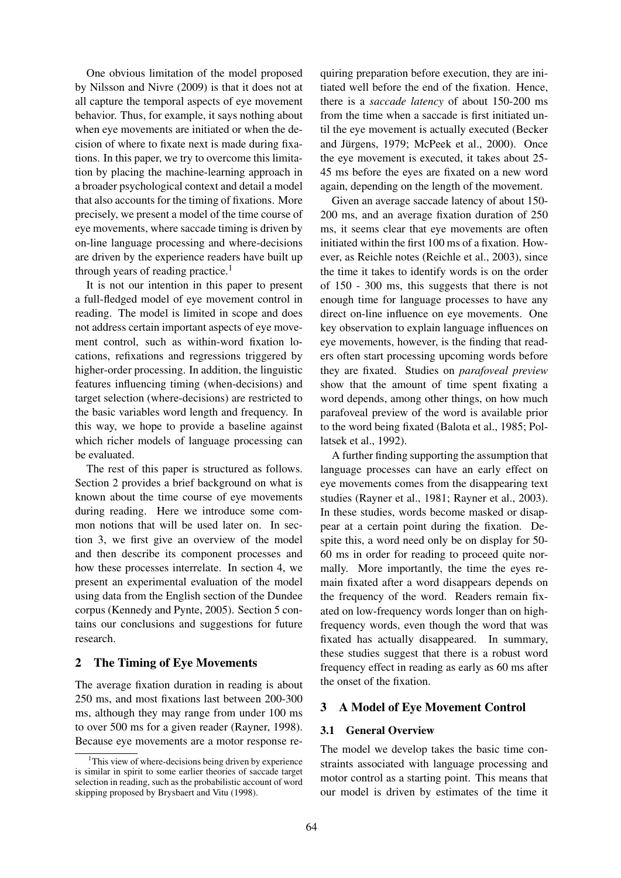One obvious limitation of the model proposed by Nilsson and Nivre (2009) is that it does not at all capture the temporal aspects of eye movement behavior. Thus, for example, it says nothing about when eye movements are initiated or when the decision of where to fixate next is made during fixations. In this paper, we try to overcome this limitation by placing the machine-learning approach in a broader psychological context and detail a model that also accounts for the timing of fixations. More precisely, we present a model of the time course of eye movements, where saccade timing is driven by on-line language processing and where-decisions are driven by the experience readers have built up through years of reading practice.<sup>1</sup>

It is not our intention in this paper to present a full-fledged model of eye movement control in reading. The model is limited in scope and does not address certain important aspects of eye movement control, such as within-word fixation locations, refixations and regressions triggered by higher-order processing. In addition, the linguistic features influencing timing (when-decisions) and target selection (where-decisions) are restricted to the basic variables word length and frequency. In this way, we hope to provide a baseline against which richer models of language processing can be evaluated.

The rest of this paper is structured as follows. Section 2 provides a brief background on what is known about the time course of eye movements during reading. Here we introduce some common notions that will be used later on. In section 3, we first give an overview of the model and then describe its component processes and how these processes interrelate. In section 4, we present an experimental evaluation of the model using data from the English section of the Dundee corpus (Kennedy and Pynte, 2005). Section 5 contains our conclusions and suggestions for future research.

# 2 The Timing of Eye Movements

The average fixation duration in reading is about 250 ms, and most fixations last between 200-300 ms, although they may range from under 100 ms to over 500 ms for a given reader (Rayner, 1998). Because eye movements are a motor response requiring preparation before execution, they are initiated well before the end of the fixation. Hence, there is a *saccade latency* of about 150-200 ms from the time when a saccade is first initiated until the eye movement is actually executed (Becker and Jürgens, 1979; McPeek et al., 2000). Once the eye movement is executed, it takes about 25- 45 ms before the eyes are fixated on a new word again, depending on the length of the movement.

Given an average saccade latency of about 150- 200 ms, and an average fixation duration of 250 ms, it seems clear that eye movements are often initiated within the first 100 ms of a fixation. However, as Reichle notes (Reichle et al., 2003), since the time it takes to identify words is on the order of 150 - 300 ms, this suggests that there is not enough time for language processes to have any direct on-line influence on eye movements. One key observation to explain language influences on eye movements, however, is the finding that readers often start processing upcoming words before they are fixated. Studies on *parafoveal preview* show that the amount of time spent fixating a word depends, among other things, on how much parafoveal preview of the word is available prior to the word being fixated (Balota et al., 1985; Pollatsek et al., 1992).

A further finding supporting the assumption that language processes can have an early effect on eye movements comes from the disappearing text studies (Rayner et al., 1981; Rayner et al., 2003). In these studies, words become masked or disappear at a certain point during the fixation. Despite this, a word need only be on display for 50- 60 ms in order for reading to proceed quite normally. More importantly, the time the eyes remain fixated after a word disappears depends on the frequency of the word. Readers remain fixated on low-frequency words longer than on highfrequency words, even though the word that was fixated has actually disappeared. In summary, these studies suggest that there is a robust word frequency effect in reading as early as 60 ms after the onset of the fixation.

# 3 A Model of Eye Movement Control

#### 3.1 General Overview

The model we develop takes the basic time constraints associated with language processing and motor control as a starting point. This means that our model is driven by estimates of the time it

 $1$ This view of where-decisions being driven by experience is similar in spirit to some earlier theories of saccade target selection in reading, such as the probabilistic account of word skipping proposed by Brysbaert and Vitu (1998).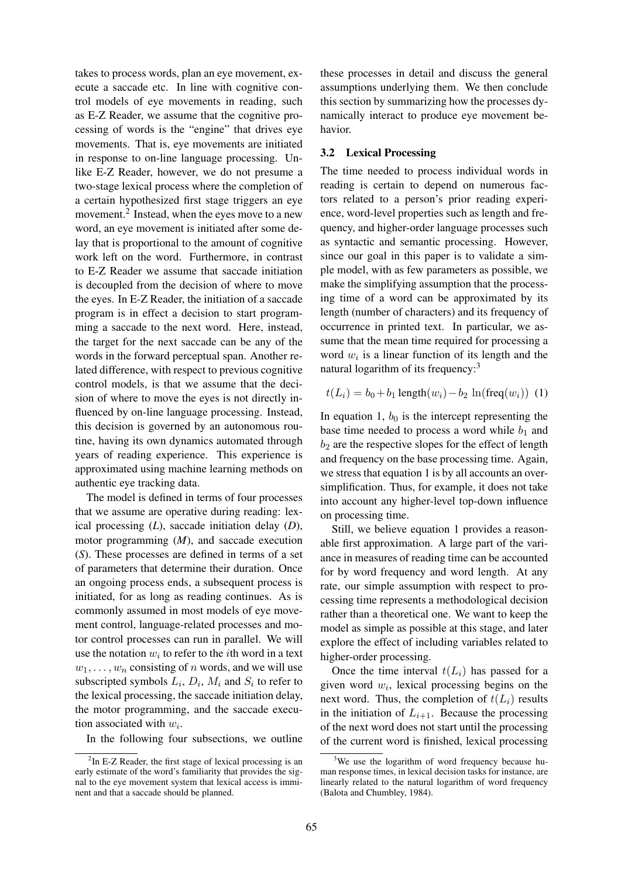takes to process words, plan an eye movement, execute a saccade etc. In line with cognitive control models of eye movements in reading, such as E-Z Reader, we assume that the cognitive processing of words is the "engine" that drives eye movements. That is, eye movements are initiated in response to on-line language processing. Unlike E-Z Reader, however, we do not presume a two-stage lexical process where the completion of a certain hypothesized first stage triggers an eye movement.<sup>2</sup> Instead, when the eyes move to a new word, an eye movement is initiated after some delay that is proportional to the amount of cognitive work left on the word. Furthermore, in contrast to E-Z Reader we assume that saccade initiation is decoupled from the decision of where to move the eyes. In E-Z Reader, the initiation of a saccade program is in effect a decision to start programming a saccade to the next word. Here, instead, the target for the next saccade can be any of the words in the forward perceptual span. Another related difference, with respect to previous cognitive control models, is that we assume that the decision of where to move the eyes is not directly influenced by on-line language processing. Instead, this decision is governed by an autonomous routine, having its own dynamics automated through years of reading experience. This experience is approximated using machine learning methods on authentic eye tracking data.

The model is defined in terms of four processes that we assume are operative during reading: lexical processing (*L*), saccade initiation delay (*D*), motor programming (*M*), and saccade execution (*S*). These processes are defined in terms of a set of parameters that determine their duration. Once an ongoing process ends, a subsequent process is initiated, for as long as reading continues. As is commonly assumed in most models of eye movement control, language-related processes and motor control processes can run in parallel. We will use the notation  $w_i$  to refer to the *i*th word in a text  $w_1, \ldots, w_n$  consisting of n words, and we will use subscripted symbols  $L_i$ ,  $D_i$ ,  $M_i$  and  $S_i$  to refer to the lexical processing, the saccade initiation delay, the motor programming, and the saccade execution associated with  $w_i$ .

In the following four subsections, we outline

these processes in detail and discuss the general assumptions underlying them. We then conclude this section by summarizing how the processes dynamically interact to produce eye movement behavior.

# 3.2 Lexical Processing

The time needed to process individual words in reading is certain to depend on numerous factors related to a person's prior reading experience, word-level properties such as length and frequency, and higher-order language processes such as syntactic and semantic processing. However, since our goal in this paper is to validate a simple model, with as few parameters as possible, we make the simplifying assumption that the processing time of a word can be approximated by its length (number of characters) and its frequency of occurrence in printed text. In particular, we assume that the mean time required for processing a word  $w_i$  is a linear function of its length and the natural logarithm of its frequency: $3$ 

$$
t(L_i) = b_0 + b_1 \operatorname{length}(w_i) - b_2 \ln(\operatorname{freq}(w_i))
$$
 (1)

In equation 1,  $b_0$  is the intercept representing the base time needed to process a word while  $b_1$  and  $b_2$  are the respective slopes for the effect of length and frequency on the base processing time. Again, we stress that equation 1 is by all accounts an oversimplification. Thus, for example, it does not take into account any higher-level top-down influence on processing time.

Still, we believe equation 1 provides a reasonable first approximation. A large part of the variance in measures of reading time can be accounted for by word frequency and word length. At any rate, our simple assumption with respect to processing time represents a methodological decision rather than a theoretical one. We want to keep the model as simple as possible at this stage, and later explore the effect of including variables related to higher-order processing.

Once the time interval  $t(L_i)$  has passed for a given word  $w_i$ , lexical processing begins on the next word. Thus, the completion of  $t(L_i)$  results in the initiation of  $L_{i+1}$ . Because the processing of the next word does not start until the processing of the current word is finished, lexical processing

 $2$ In E-Z Reader, the first stage of lexical processing is an early estimate of the word's familiarity that provides the signal to the eye movement system that lexical access is imminent and that a saccade should be planned.

<sup>&</sup>lt;sup>3</sup>We use the logarithm of word frequency because human response times, in lexical decision tasks for instance, are linearly related to the natural logarithm of word frequency (Balota and Chumbley, 1984).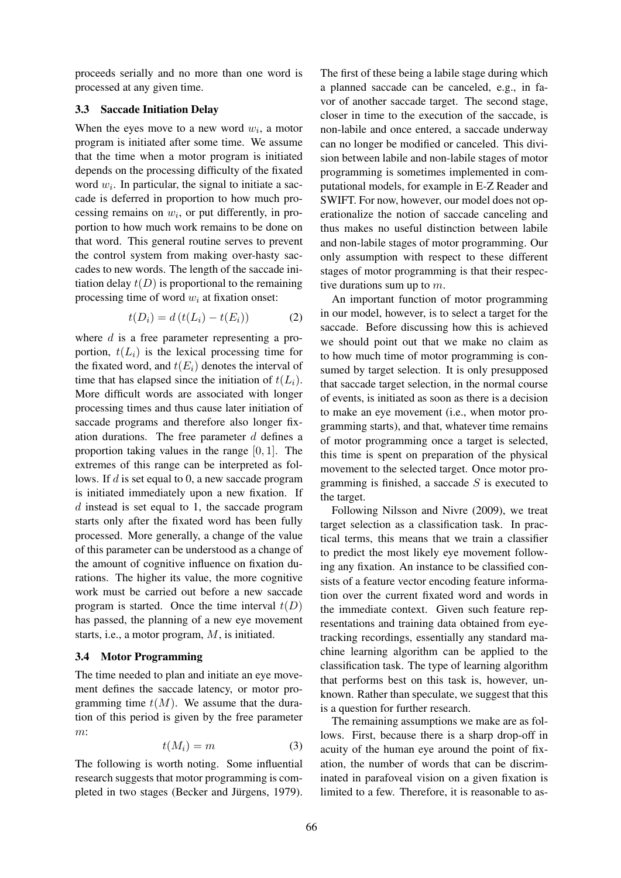proceeds serially and no more than one word is processed at any given time.

### 3.3 Saccade Initiation Delay

When the eyes move to a new word  $w_i$ , a motor program is initiated after some time. We assume that the time when a motor program is initiated depends on the processing difficulty of the fixated word  $w_i$ . In particular, the signal to initiate a saccade is deferred in proportion to how much processing remains on  $w_i$ , or put differently, in proportion to how much work remains to be done on that word. This general routine serves to prevent the control system from making over-hasty saccades to new words. The length of the saccade initiation delay  $t(D)$  is proportional to the remaining processing time of word  $w_i$  at fixation onset:

$$
t(D_i) = d\left(t(L_i) - t(E_i)\right) \tag{2}
$$

where  $d$  is a free parameter representing a proportion,  $t(L_i)$  is the lexical processing time for the fixated word, and  $t(E_i)$  denotes the interval of time that has elapsed since the initiation of  $t(L_i)$ . More difficult words are associated with longer processing times and thus cause later initiation of saccade programs and therefore also longer fixation durations. The free parameter  $d$  defines a proportion taking values in the range  $[0, 1]$ . The extremes of this range can be interpreted as follows. If  $d$  is set equal to 0, a new saccade program is initiated immediately upon a new fixation. If d instead is set equal to 1, the saccade program starts only after the fixated word has been fully processed. More generally, a change of the value of this parameter can be understood as a change of the amount of cognitive influence on fixation durations. The higher its value, the more cognitive work must be carried out before a new saccade program is started. Once the time interval  $t(D)$ has passed, the planning of a new eye movement starts, i.e., a motor program, M, is initiated.

# 3.4 Motor Programming

The time needed to plan and initiate an eye movement defines the saccade latency, or motor programming time  $t(M)$ . We assume that the duration of this period is given by the free parameter m:

$$
t(M_i) = m \tag{3}
$$

The following is worth noting. Some influential research suggests that motor programming is completed in two stages (Becker and Jürgens, 1979).

The first of these being a labile stage during which a planned saccade can be canceled, e.g., in favor of another saccade target. The second stage, closer in time to the execution of the saccade, is non-labile and once entered, a saccade underway can no longer be modified or canceled. This division between labile and non-labile stages of motor programming is sometimes implemented in computational models, for example in E-Z Reader and SWIFT. For now, however, our model does not operationalize the notion of saccade canceling and thus makes no useful distinction between labile and non-labile stages of motor programming. Our only assumption with respect to these different stages of motor programming is that their respective durations sum up to m.

An important function of motor programming in our model, however, is to select a target for the saccade. Before discussing how this is achieved we should point out that we make no claim as to how much time of motor programming is consumed by target selection. It is only presupposed that saccade target selection, in the normal course of events, is initiated as soon as there is a decision to make an eye movement (i.e., when motor programming starts), and that, whatever time remains of motor programming once a target is selected, this time is spent on preparation of the physical movement to the selected target. Once motor programming is finished, a saccade  $S$  is executed to the target.

Following Nilsson and Nivre (2009), we treat target selection as a classification task. In practical terms, this means that we train a classifier to predict the most likely eye movement following any fixation. An instance to be classified consists of a feature vector encoding feature information over the current fixated word and words in the immediate context. Given such feature representations and training data obtained from eyetracking recordings, essentially any standard machine learning algorithm can be applied to the classification task. The type of learning algorithm that performs best on this task is, however, unknown. Rather than speculate, we suggest that this is a question for further research.

The remaining assumptions we make are as follows. First, because there is a sharp drop-off in acuity of the human eye around the point of fixation, the number of words that can be discriminated in parafoveal vision on a given fixation is limited to a few. Therefore, it is reasonable to as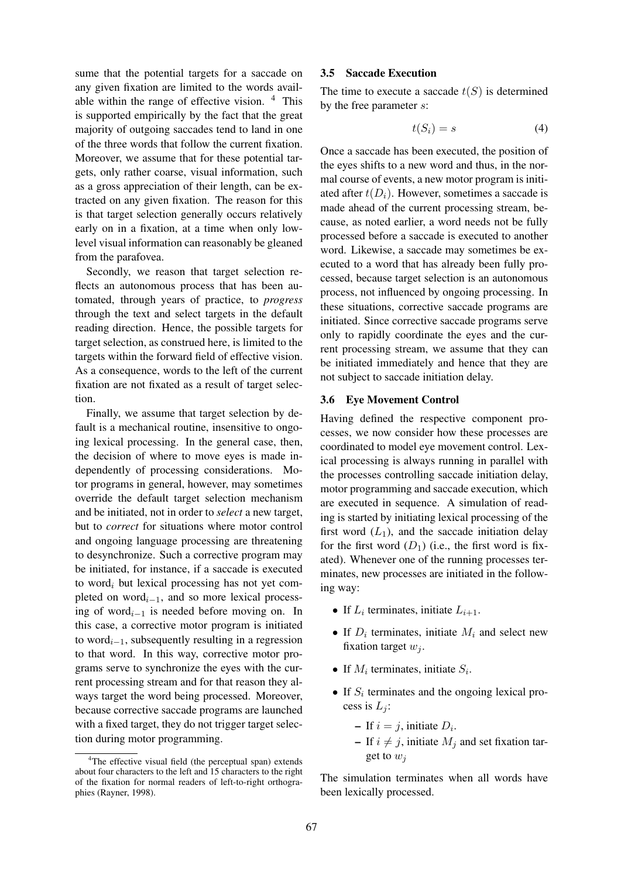sume that the potential targets for a saccade on any given fixation are limited to the words available within the range of effective vision.  $4$  This is supported empirically by the fact that the great majority of outgoing saccades tend to land in one of the three words that follow the current fixation. Moreover, we assume that for these potential targets, only rather coarse, visual information, such as a gross appreciation of their length, can be extracted on any given fixation. The reason for this is that target selection generally occurs relatively early on in a fixation, at a time when only lowlevel visual information can reasonably be gleaned from the parafovea.

Secondly, we reason that target selection reflects an autonomous process that has been automated, through years of practice, to *progress* through the text and select targets in the default reading direction. Hence, the possible targets for target selection, as construed here, is limited to the targets within the forward field of effective vision. As a consequence, words to the left of the current fixation are not fixated as a result of target selection.

Finally, we assume that target selection by default is a mechanical routine, insensitive to ongoing lexical processing. In the general case, then, the decision of where to move eyes is made independently of processing considerations. Motor programs in general, however, may sometimes override the default target selection mechanism and be initiated, not in order to *select* a new target, but to *correct* for situations where motor control and ongoing language processing are threatening to desynchronize. Such a corrective program may be initiated, for instance, if a saccade is executed to word<sub>i</sub> but lexical processing has not yet completed on word $_{i-1}$ , and so more lexical processing of word<sub>i−1</sub> is needed before moving on. In this case, a corrective motor program is initiated to word $_{i-1}$ , subsequently resulting in a regression to that word. In this way, corrective motor programs serve to synchronize the eyes with the current processing stream and for that reason they always target the word being processed. Moreover, because corrective saccade programs are launched with a fixed target, they do not trigger target selection during motor programming.

### 3.5 Saccade Execution

The time to execute a saccade  $t(S)$  is determined by the free parameter s:

$$
t(S_i) = s \tag{4}
$$

Once a saccade has been executed, the position of the eyes shifts to a new word and thus, in the normal course of events, a new motor program is initiated after  $t(D_i)$ . However, sometimes a saccade is made ahead of the current processing stream, because, as noted earlier, a word needs not be fully processed before a saccade is executed to another word. Likewise, a saccade may sometimes be executed to a word that has already been fully processed, because target selection is an autonomous process, not influenced by ongoing processing. In these situations, corrective saccade programs are initiated. Since corrective saccade programs serve only to rapidly coordinate the eyes and the current processing stream, we assume that they can be initiated immediately and hence that they are not subject to saccade initiation delay.

#### 3.6 Eye Movement Control

Having defined the respective component processes, we now consider how these processes are coordinated to model eye movement control. Lexical processing is always running in parallel with the processes controlling saccade initiation delay, motor programming and saccade execution, which are executed in sequence. A simulation of reading is started by initiating lexical processing of the first word  $(L_1)$ , and the saccade initiation delay for the first word  $(D_1)$  (i.e., the first word is fixated). Whenever one of the running processes terminates, new processes are initiated in the following way:

- If  $L_i$  terminates, initiate  $L_{i+1}$ .
- If  $D_i$  terminates, initiate  $M_i$  and select new fixation target  $w_i$ .
- If  $M_i$  terminates, initiate  $S_i$ .
- If  $S_i$  terminates and the ongoing lexical process is  $L_i$ :
	- If  $i = j$ , initiate  $D_i$ .
	- If  $i \neq j$ , initiate  $M_j$  and set fixation target to  $w_i$

The simulation terminates when all words have been lexically processed.

<sup>&</sup>lt;sup>4</sup>The effective visual field (the perceptual span) extends about four characters to the left and 15 characters to the right of the fixation for normal readers of left-to-right orthographies (Rayner, 1998).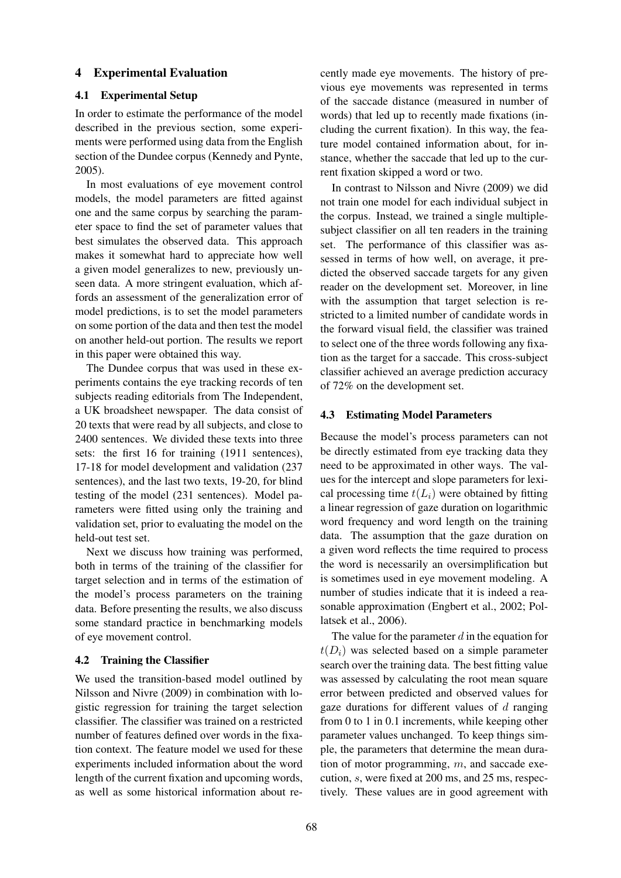# 4 Experimental Evaluation

# 4.1 Experimental Setup

In order to estimate the performance of the model described in the previous section, some experiments were performed using data from the English section of the Dundee corpus (Kennedy and Pynte, 2005).

In most evaluations of eye movement control models, the model parameters are fitted against one and the same corpus by searching the parameter space to find the set of parameter values that best simulates the observed data. This approach makes it somewhat hard to appreciate how well a given model generalizes to new, previously unseen data. A more stringent evaluation, which affords an assessment of the generalization error of model predictions, is to set the model parameters on some portion of the data and then test the model on another held-out portion. The results we report in this paper were obtained this way.

The Dundee corpus that was used in these experiments contains the eye tracking records of ten subjects reading editorials from The Independent, a UK broadsheet newspaper. The data consist of 20 texts that were read by all subjects, and close to 2400 sentences. We divided these texts into three sets: the first 16 for training (1911 sentences), 17-18 for model development and validation (237 sentences), and the last two texts, 19-20, for blind testing of the model (231 sentences). Model parameters were fitted using only the training and validation set, prior to evaluating the model on the held-out test set.

Next we discuss how training was performed, both in terms of the training of the classifier for target selection and in terms of the estimation of the model's process parameters on the training data. Before presenting the results, we also discuss some standard practice in benchmarking models of eye movement control.

#### 4.2 Training the Classifier

We used the transition-based model outlined by Nilsson and Nivre (2009) in combination with logistic regression for training the target selection classifier. The classifier was trained on a restricted number of features defined over words in the fixation context. The feature model we used for these experiments included information about the word length of the current fixation and upcoming words, as well as some historical information about recently made eye movements. The history of previous eye movements was represented in terms of the saccade distance (measured in number of words) that led up to recently made fixations (including the current fixation). In this way, the feature model contained information about, for instance, whether the saccade that led up to the current fixation skipped a word or two.

In contrast to Nilsson and Nivre (2009) we did not train one model for each individual subject in the corpus. Instead, we trained a single multiplesubject classifier on all ten readers in the training set. The performance of this classifier was assessed in terms of how well, on average, it predicted the observed saccade targets for any given reader on the development set. Moreover, in line with the assumption that target selection is restricted to a limited number of candidate words in the forward visual field, the classifier was trained to select one of the three words following any fixation as the target for a saccade. This cross-subject classifier achieved an average prediction accuracy of 72% on the development set.

# 4.3 Estimating Model Parameters

Because the model's process parameters can not be directly estimated from eye tracking data they need to be approximated in other ways. The values for the intercept and slope parameters for lexical processing time  $t(L_i)$  were obtained by fitting a linear regression of gaze duration on logarithmic word frequency and word length on the training data. The assumption that the gaze duration on a given word reflects the time required to process the word is necessarily an oversimplification but is sometimes used in eye movement modeling. A number of studies indicate that it is indeed a reasonable approximation (Engbert et al., 2002; Pollatsek et al., 2006).

The value for the parameter  $d$  in the equation for  $t(D_i)$  was selected based on a simple parameter search over the training data. The best fitting value was assessed by calculating the root mean square error between predicted and observed values for gaze durations for different values of  $d$  ranging from 0 to 1 in 0.1 increments, while keeping other parameter values unchanged. To keep things simple, the parameters that determine the mean duration of motor programming, m, and saccade execution, s, were fixed at 200 ms, and 25 ms, respectively. These values are in good agreement with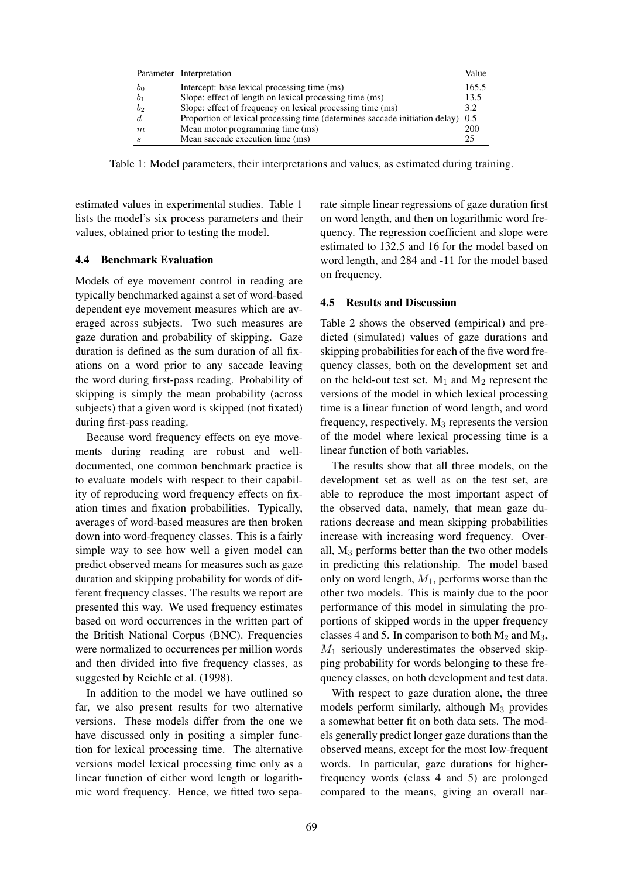|                | Parameter Interpretation                                                    | Value |
|----------------|-----------------------------------------------------------------------------|-------|
| b <sub>0</sub> | Intercept: base lexical processing time (ms)                                | 165.5 |
| b <sub>1</sub> | Slope: effect of length on lexical processing time (ms)                     | 13.5  |
| b <sub>2</sub> | Slope: effect of frequency on lexical processing time (ms)                  | 3.2   |
|                | Proportion of lexical processing time (determines saccade initiation delay) | 0.5   |
| m              | Mean motor programming time (ms)                                            | 200   |
| я              | Mean saccade execution time (ms)                                            | 25    |

Table 1: Model parameters, their interpretations and values, as estimated during training.

estimated values in experimental studies. Table 1 lists the model's six process parameters and their values, obtained prior to testing the model.

# 4.4 Benchmark Evaluation

Models of eye movement control in reading are typically benchmarked against a set of word-based dependent eye movement measures which are averaged across subjects. Two such measures are gaze duration and probability of skipping. Gaze duration is defined as the sum duration of all fixations on a word prior to any saccade leaving the word during first-pass reading. Probability of skipping is simply the mean probability (across subjects) that a given word is skipped (not fixated) during first-pass reading.

Because word frequency effects on eye movements during reading are robust and welldocumented, one common benchmark practice is to evaluate models with respect to their capability of reproducing word frequency effects on fixation times and fixation probabilities. Typically, averages of word-based measures are then broken down into word-frequency classes. This is a fairly simple way to see how well a given model can predict observed means for measures such as gaze duration and skipping probability for words of different frequency classes. The results we report are presented this way. We used frequency estimates based on word occurrences in the written part of the British National Corpus (BNC). Frequencies were normalized to occurrences per million words and then divided into five frequency classes, as suggested by Reichle et al. (1998).

In addition to the model we have outlined so far, we also present results for two alternative versions. These models differ from the one we have discussed only in positing a simpler function for lexical processing time. The alternative versions model lexical processing time only as a linear function of either word length or logarithmic word frequency. Hence, we fitted two separate simple linear regressions of gaze duration first on word length, and then on logarithmic word frequency. The regression coefficient and slope were estimated to 132.5 and 16 for the model based on word length, and 284 and -11 for the model based on frequency.

### 4.5 Results and Discussion

Table 2 shows the observed (empirical) and predicted (simulated) values of gaze durations and skipping probabilities for each of the five word frequency classes, both on the development set and on the held-out test set.  $M_1$  and  $M_2$  represent the versions of the model in which lexical processing time is a linear function of word length, and word frequency, respectively.  $M_3$  represents the version of the model where lexical processing time is a linear function of both variables.

The results show that all three models, on the development set as well as on the test set, are able to reproduce the most important aspect of the observed data, namely, that mean gaze durations decrease and mean skipping probabilities increase with increasing word frequency. Overall,  $M_3$  performs better than the two other models in predicting this relationship. The model based only on word length,  $M_1$ , performs worse than the other two models. This is mainly due to the poor performance of this model in simulating the proportions of skipped words in the upper frequency classes 4 and 5. In comparison to both  $M_2$  and  $M_3$ ,  $M_1$  seriously underestimates the observed skipping probability for words belonging to these frequency classes, on both development and test data.

With respect to gaze duration alone, the three models perform similarly, although  $M_3$  provides a somewhat better fit on both data sets. The models generally predict longer gaze durations than the observed means, except for the most low-frequent words. In particular, gaze durations for higherfrequency words (class 4 and 5) are prolonged compared to the means, giving an overall nar-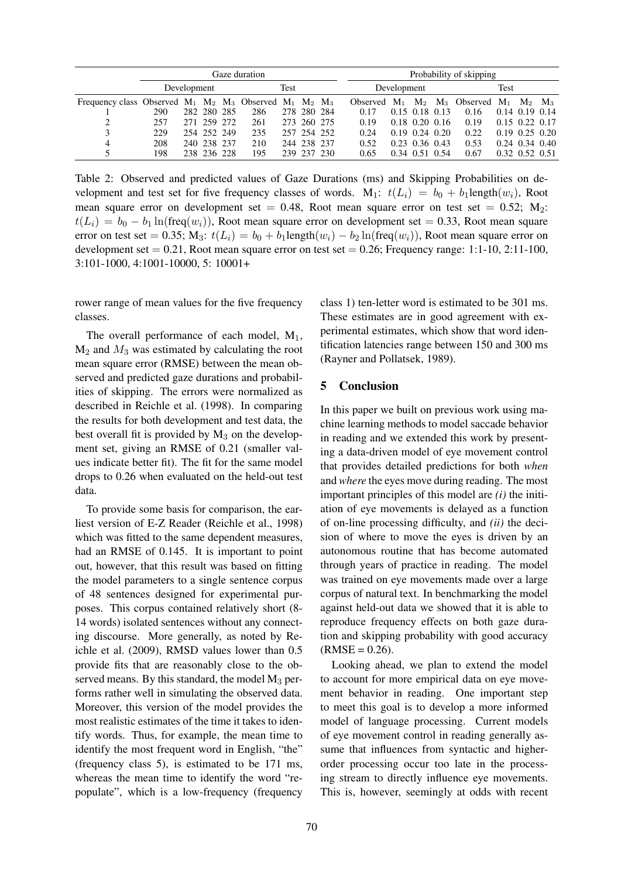|                                                                       | Gaze duration |  |             |  |      |     |             |  |             | Probability of skipping |  |                      |      |                                        |                  |                      |  |  |
|-----------------------------------------------------------------------|---------------|--|-------------|--|------|-----|-------------|--|-------------|-------------------------|--|----------------------|------|----------------------------------------|------------------|----------------------|--|--|
|                                                                       | Development   |  |             |  | Test |     |             |  | Development |                         |  |                      | Test |                                        |                  |                      |  |  |
| Frequency class Observed $M_1$ $M_2$ $M_3$ Observed $M_1$ $M_2$ $M_3$ |               |  |             |  |      |     |             |  |             | Observed $M_1$          |  |                      |      | $M_2$ $M_3$ Observed $M_1$ $M_2$ $M_3$ |                  |                      |  |  |
|                                                                       | 290           |  | 282 280 285 |  | 286  |     | 278 280 284 |  |             | 0.17                    |  | $0.15$ 0.18 0.13     |      | 0.16                                   | $0.14$ 0.19 0.14 |                      |  |  |
| 2                                                                     | 257           |  | 271 259 272 |  | 261  |     | 273 260 275 |  |             | 0.19                    |  | $0.18$ $0.20$ $0.16$ |      | 0.19                                   |                  | $0.15$ $0.22$ $0.17$ |  |  |
|                                                                       | 229           |  | 254 252 249 |  | 235  |     | 257 254 252 |  |             | 0.24                    |  | $0.19$ $0.24$ $0.20$ |      | 0.22                                   |                  | $0.19$ $0.25$ $0.20$ |  |  |
| 4                                                                     | 208           |  | 240 238 237 |  | 210  |     | 244 238 237 |  |             | 0.52                    |  | $0.23$ 0.36 0.43     |      | 0.53                                   |                  | $0.24$ $0.34$ $0.40$ |  |  |
|                                                                       | 198           |  | 238 236 228 |  | 195  | 239 | 237 230     |  |             | 0.65                    |  | 0.34 0.51 0.54       |      | 0.67                                   |                  | 0.32 0.52 0.51       |  |  |

Table 2: Observed and predicted values of Gaze Durations (ms) and Skipping Probabilities on development and test set for five frequency classes of words. M<sub>1</sub>:  $t(L_i) = b_0 + b_1$ length $(w_i)$ , Root mean square error on development set  $= 0.48$ , Root mean square error on test set  $= 0.52$ ; M<sub>2</sub>:  $t(L_i) = b_0 - b_1 \ln(\text{freq}(w_i))$ , Root mean square error on development set = 0.33, Root mean square error on test set = 0.35; M<sub>3</sub>:  $t(L_i) = b_0 + b_1$ length $(w_i) - b_2 \ln(\text{freq}(w_i))$ , Root mean square error on development set  $= 0.21$ , Root mean square error on test set  $= 0.26$ ; Frequency range: 1:1-10, 2:11-100, 3:101-1000, 4:1001-10000, 5: 10001+

rower range of mean values for the five frequency classes.

The overall performance of each model,  $M_1$ ,  $M_2$  and  $M_3$  was estimated by calculating the root mean square error (RMSE) between the mean observed and predicted gaze durations and probabilities of skipping. The errors were normalized as described in Reichle et al. (1998). In comparing the results for both development and test data, the best overall fit is provided by  $M_3$  on the development set, giving an RMSE of 0.21 (smaller values indicate better fit). The fit for the same model drops to 0.26 when evaluated on the held-out test data.

To provide some basis for comparison, the earliest version of E-Z Reader (Reichle et al., 1998) which was fitted to the same dependent measures, had an RMSE of 0.145. It is important to point out, however, that this result was based on fitting the model parameters to a single sentence corpus of 48 sentences designed for experimental purposes. This corpus contained relatively short (8- 14 words) isolated sentences without any connecting discourse. More generally, as noted by Reichle et al. (2009), RMSD values lower than 0.5 provide fits that are reasonably close to the observed means. By this standard, the model  $M_3$  performs rather well in simulating the observed data. Moreover, this version of the model provides the most realistic estimates of the time it takes to identify words. Thus, for example, the mean time to identify the most frequent word in English, "the" (frequency class 5), is estimated to be 171 ms, whereas the mean time to identify the word "repopulate", which is a low-frequency (frequency

class 1) ten-letter word is estimated to be 301 ms. These estimates are in good agreement with experimental estimates, which show that word identification latencies range between 150 and 300 ms (Rayner and Pollatsek, 1989).

# 5 Conclusion

In this paper we built on previous work using machine learning methods to model saccade behavior in reading and we extended this work by presenting a data-driven model of eye movement control that provides detailed predictions for both *when* and *where* the eyes move during reading. The most important principles of this model are *(i)* the initiation of eye movements is delayed as a function of on-line processing difficulty, and *(ii)* the decision of where to move the eyes is driven by an autonomous routine that has become automated through years of practice in reading. The model was trained on eye movements made over a large corpus of natural text. In benchmarking the model against held-out data we showed that it is able to reproduce frequency effects on both gaze duration and skipping probability with good accuracy  $(RMSE = 0.26)$ .

Looking ahead, we plan to extend the model to account for more empirical data on eye movement behavior in reading. One important step to meet this goal is to develop a more informed model of language processing. Current models of eye movement control in reading generally assume that influences from syntactic and higherorder processing occur too late in the processing stream to directly influence eye movements. This is, however, seemingly at odds with recent